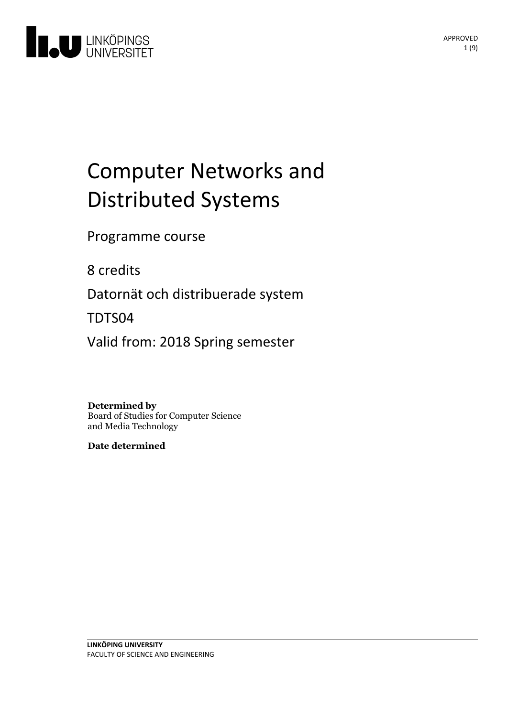

# Computer Networks and Distributed Systems

Programme course

8 credits

Datornät och distribuerade system

TDTS04

Valid from: 2018 Spring semester

**Determined by**

Board of Studies for Computer Science and Media Technology

**Date determined**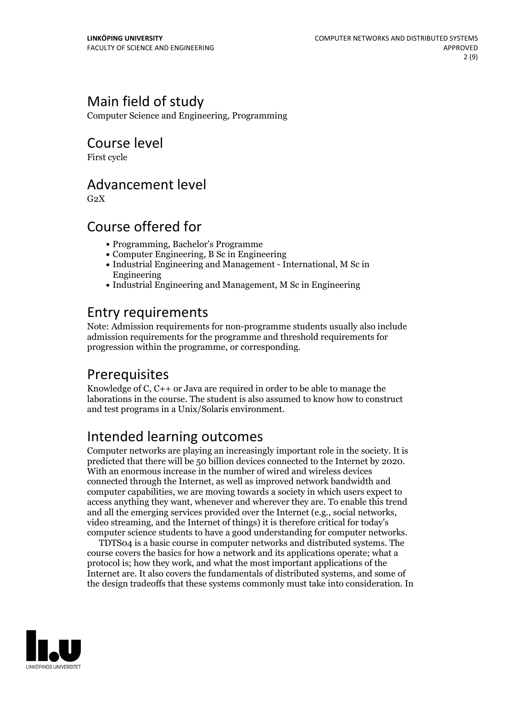# Main field of study

Computer Science and Engineering, Programming

### Course level

First cycle

### Advancement level

 $G<sub>2</sub>X$ 

## Course offered for

- Programming, Bachelor's Programme
- Computer Engineering, B Sc in Engineering
- Industrial Engineering and Management International, M Sc in Engineering
- Industrial Engineering and Management, M Sc in Engineering

## Entry requirements

Note: Admission requirements for non-programme students usually also include admission requirements for the programme and threshold requirements for progression within the programme, or corresponding.

# Prerequisites

Knowledge ofC, C++ or Java are required in order to be able to manage the laborations in the course. The student is also assumed to know how to construct and test programs in a Unix/Solaris environment.

# Intended learning outcomes

Computer networks are playing an increasingly important role in the society. It is predicted that there will be <sup>50</sup> billion devices connected to the Internet by 2020. With an enormous increase in the number of wired and wireless devices connected through the Internet, as well as improved network bandwidth and computer capabilities, we are moving towards a society in which users expect to access anything they want, whenever and wherever they are. To enable this trend and all the emerging services provided over the Internet (e.g., social networks, video streaming, and the Internet of things) it is therefore critical for today's computer science students to have a good understanding for computer networks.<br>TDTS04 is a basic course in computer networks and distributed systems. The

course covers the basics for how a network and its applications operate; what a protocol is; how they work, and what the most important applications of the Internet are. It also covers the fundamentals of distributed systems, and some of the design tradeoffs that these systems commonly must take into consideration. In

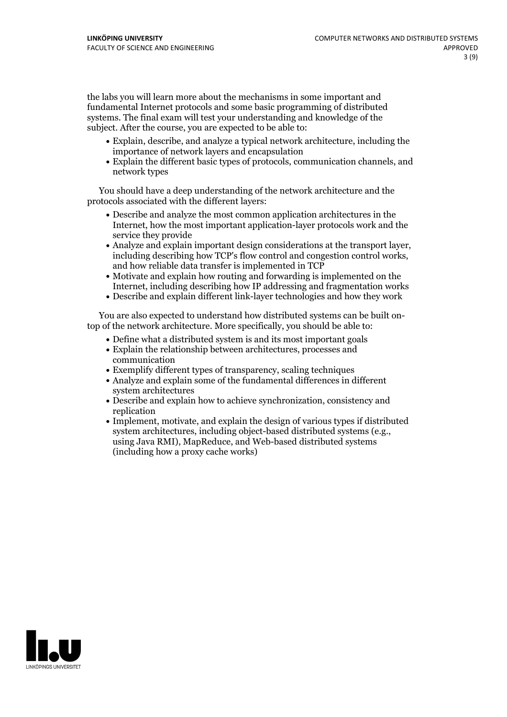the labs you will learn more about the mechanisms in some important and fundamental Internet protocols and some basic programming of distributed systems. The final exam will test your understanding and knowledge of the subject. After the course, you are expected to be able to:

- Explain, describe, and analyze a typical network architecture, including the importance of network layers and encapsulation
- Explain the different basic types of protocols, communication channels, and network types

You should have a deep understanding of the network architecture and the protocols associated with the different layers:

- Describe and analyze the most common application architectures in the Internet, how the most important application-layer protocols work and the service they provide
- Analyze and explain important design considerations at the transport layer, including describing how TCP's flow control and congestion control works, and how reliable data transfer is implemented in TCP
- Motivate and explain how routing and forwarding is implemented on the Internet, including describing how IP addressing and fragmentation works
- Describe and explain different link-layer technologies and how they work

You are also expected to understand how distributed systems can be built ontop of the network architecture. More specifically, you should be able to:

- Define what a distributed system is and its most important goals
- Explain the relationship between architectures, processes and communication
- Exemplify different types of transparency, scaling techniques
- Analyze and explain some of the fundamental differences in different system architectures
- Describe and explain how to achieve synchronization, consistency and replication
- Implement, motivate, and explain the design of various types if distributed system architectures, including object-based distributed systems (e.g., using Java RMI), MapReduce, and Web-based distributed systems (including how a proxy cache works)

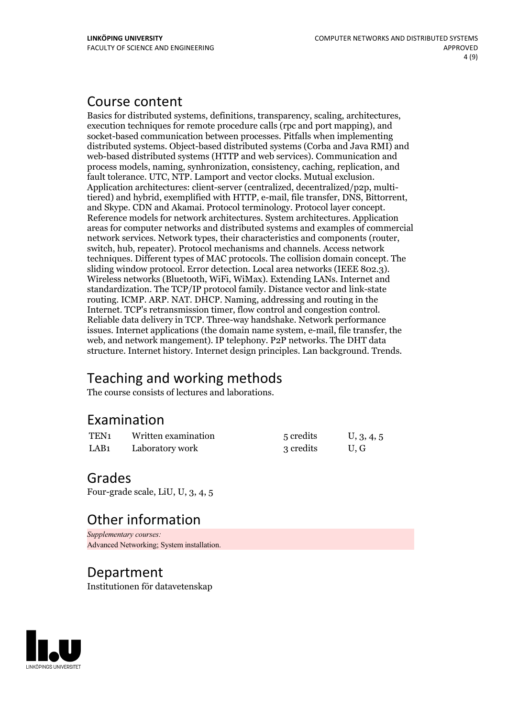### Course content

Basics for distributed systems, definitions, transparency, scaling, architectures, execution techniques for remote procedure calls (rpc and port mapping), and socket-based communication between processes. Pitfalls when implementing distributed systems. Object-based distributed systems (Corba and Java RMI) and web-based distributed systems (HTTP and web services). Communication and process models, naming, synhronization, consistency, caching, replication, and fault tolerance. UTC, NTP. Lamport and vector clocks. Mutual exclusion. Application architectures: client-server (centralized, decentralized/p2p, multitiered) and hybrid, exemplified with HTTP, e-mail, file transfer, DNS, Bittorrent, and Skype. CDN and Akamai. Protocol terminology. Protocol layer concept.<br>Reference models for network architectures. System architectures. areas for computer networks and distributed systems and examples of commercial network services. Network types, their characteristics and components (router, switch, hub, repeater). Protocol mechanisms and channels. Access network techniques. Different types of MAC protocols. The collision domain concept. The sliding window protocol. Error detection. Local area networks (IEEE 802.3). Wireless networks (Bluetooth, WiFi, WiMax). Extending LANs. Internet and standardization. The TCP/IP protocol family. Distance vector and link-state routing. ICMP. ARP. NAT. DHCP. Naming, addressing and routing in the Internet. TCP's retransmission timer, flow control and congestion control. Reliable data delivery in TCP. Three-way handshake. Network performance issues. Internet applications (the domain name system, e-mail, file transfer, the web, and network mangement). IP telephony. P2P networks. The DHT data structure. Internet history. Internet design principles. Lan background. Trends.

# Teaching and working methods

The course consists of lectures and laborations.

### Examination

| TEN <sub>1</sub> | Written examination | 5 credits | U, 3, 4, 5 |
|------------------|---------------------|-----------|------------|
| LAB <sub>1</sub> | Laboratory work     | 3 credits | U.G        |

### Grades

Four-grade scale, LiU, U, 3, 4, 5

# Other information

*Supplementary courses:* Advanced Networking; System installation.

#### Department

Institutionen för datavetenskap

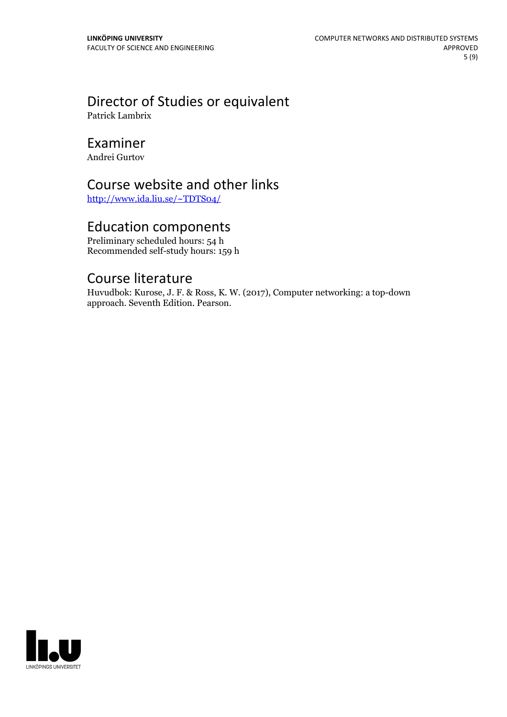# Director of Studies or equivalent

Patrick Lambrix

### Examiner

Andrei Gurtov

## Course website and other links

<http://www.ida.liu.se/~TDTS04/>

### Education components

Preliminary scheduled hours: 54 h Recommended self-study hours: 159 h

### Course literature

Huvudbok: Kurose, J. F. & Ross, K. W. (2017), Computer networking: a top-down approach. Seventh Edition. Pearson.

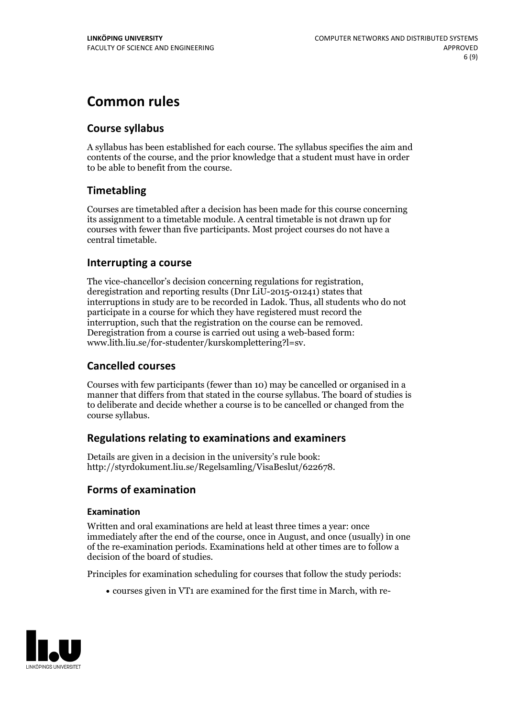# **Common rules**

#### **Course syllabus**

A syllabus has been established for each course. The syllabus specifies the aim and contents of the course, and the prior knowledge that a student must have in order to be able to benefit from the course.

#### **Timetabling**

Courses are timetabled after a decision has been made for this course concerning its assignment to a timetable module. A central timetable is not drawn up for courses with fewer than five participants. Most project courses do not have a central timetable.

#### **Interrupting a course**

The vice-chancellor's decision concerning regulations for registration, deregistration and reporting results (Dnr LiU-2015-01241) states that interruptions in study are to be recorded in Ladok. Thus, all students who do not participate in a course for which they have registered must record the interruption, such that the registration on the course can be removed. Deregistration from <sup>a</sup> course is carried outusing <sup>a</sup> web-based form: www.lith.liu.se/for-studenter/kurskomplettering?l=sv.

#### **Cancelled courses**

Courses with few participants (fewer than 10) may be cancelled or organised in a manner that differs from that stated in the course syllabus. The board of studies is to deliberate and decide whether a course is to be cancelled orchanged from the course syllabus.

#### **Regulations relatingto examinations and examiners**

Details are given in a decision in the university's rule book: http://styrdokument.liu.se/Regelsamling/VisaBeslut/622678.

#### **Forms of examination**

#### **Examination**

Written and oral examinations are held at least three times a year: once immediately after the end of the course, once in August, and once (usually) in one of the re-examination periods. Examinations held at other times are to follow a decision of the board of studies.

Principles for examination scheduling for courses that follow the study periods:

courses given in VT1 are examined for the first time in March, with re-

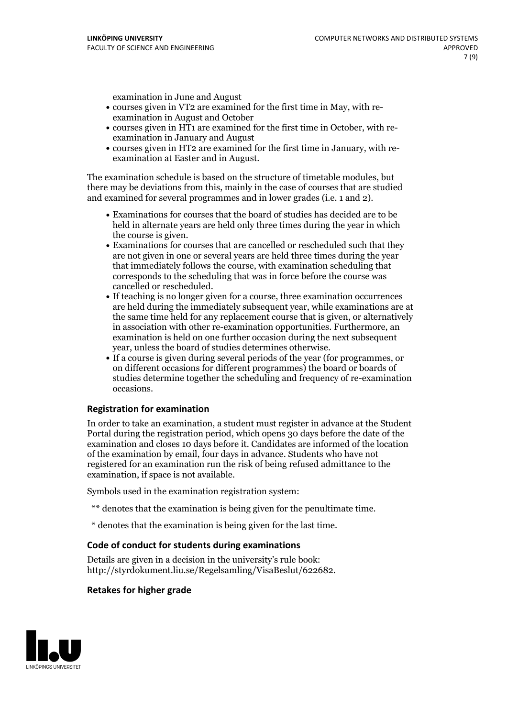examination in June and August

- courses given in VT2 are examined for the first time in May, with re-examination in August and October
- courses given in HT1 are examined for the first time in October, with re-examination in January and August
- courses given in HT2 are examined for the first time in January, with re-examination at Easter and in August.

The examination schedule is based on the structure of timetable modules, but there may be deviations from this, mainly in the case of courses that are studied and examined for several programmes and in lower grades (i.e. 1 and 2).

- Examinations for courses that the board of studies has decided are to be held in alternate years are held only three times during the year in which
- the course is given.<br>• Examinations for courses that are cancelled or rescheduled such that they are not given in one or several years are held three times during the year that immediately follows the course, with examination scheduling that corresponds to the scheduling that was in force before the course was cancelled or rescheduled.<br>• If teaching is no longer given for a course, three examination occurrences
- are held during the immediately subsequent year, while examinations are at the same time held for any replacement course that is given, or alternatively in association with other re-examination opportunities. Furthermore, an examination is held on one further occasion during the next subsequent year, unless the board of studies determines otherwise.<br>• If a course is given during several periods of the year (for programmes, or
- on different occasions for different programmes) the board orboards of studies determine together the scheduling and frequency of re-examination occasions.

#### **Registration for examination**

In order to take an examination, a student must register in advance at the Student Portal during the registration period, which opens 30 days before the date of the examination and closes 10 days before it. Candidates are informed of the location of the examination by email, four days in advance. Students who have not registered for an examination run the risk of being refused admittance to the examination, if space is not available.

Symbols used in the examination registration system:

- \*\* denotes that the examination is being given for the penultimate time.
- \* denotes that the examination is being given for the last time.

#### **Code of conduct for students during examinations**

Details are given in a decision in the university's rule book: http://styrdokument.liu.se/Regelsamling/VisaBeslut/622682.

#### **Retakes for higher grade**

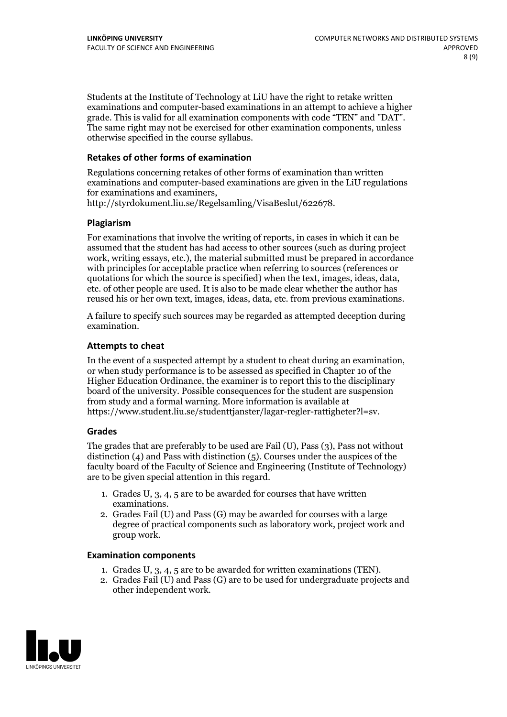Students at the Institute of Technology at LiU have the right to retake written examinations and computer-based examinations in an attempt to achieve a higher grade. This is valid for all examination components with code "TEN" and "DAT". The same right may not be exercised for other examination components, unless otherwise specified in the course syllabus.

#### **Retakes of other forms of examination**

Regulations concerning retakes of other forms of examination than written examinations and computer-based examinations are given in the LiU regulations for examinations and examiners, http://styrdokument.liu.se/Regelsamling/VisaBeslut/622678.

#### **Plagiarism**

For examinations that involve the writing of reports, in cases in which it can be assumed that the student has had access to other sources (such as during project work, writing essays, etc.), the material submitted must be prepared in accordance with principles for acceptable practice when referring to sources (references or quotations for which the source is specified) when the text, images, ideas, data, etc. of other people are used. It is also to be made clear whether the author has reused his or her own text, images, ideas, data, etc. from previous examinations.

A failure to specify such sources may be regarded as attempted deception during examination.

#### **Attempts to cheat**

In the event of <sup>a</sup> suspected attempt by <sup>a</sup> student to cheat during an examination, or when study performance is to be assessed as specified in Chapter <sup>10</sup> of the Higher Education Ordinance, the examiner is to report this to the disciplinary board of the university. Possible consequences for the student are suspension from study and a formal warning. More information is available at https://www.student.liu.se/studenttjanster/lagar-regler-rattigheter?l=sv.

#### **Grades**

The grades that are preferably to be used are Fail (U), Pass (3), Pass not without distinction  $(4)$  and Pass with distinction  $(5)$ . Courses under the auspices of the faculty board of the Faculty of Science and Engineering (Institute of Technology) are to be given special attention in this regard.

- 1. Grades U, 3, 4, 5 are to be awarded for courses that have written
- examinations. 2. Grades Fail (U) and Pass (G) may be awarded for courses with <sup>a</sup> large degree of practical components such as laboratory work, project work and group work.

#### **Examination components**

- 
- 1. Grades U, 3, 4, <sup>5</sup> are to be awarded for written examinations (TEN). 2. Grades Fail (U) and Pass (G) are to be used for undergraduate projects and other independent work.